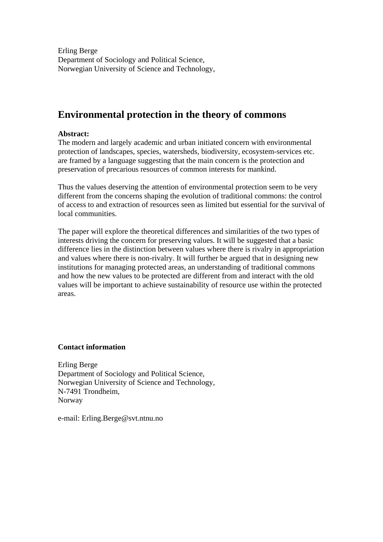Erling Berge Department of Sociology and Political Science, Norwegian University of Science and Technology,

# **Environmental protection in the theory of commons**

# **Abstract:**

The modern and largely academic and urban initiated concern with environmental protection of landscapes, species, watersheds, biodiversity, ecosystem-services etc. are framed by a language suggesting that the main concern is the protection and preservation of precarious resources of common interests for mankind.

Thus the values deserving the attention of environmental protection seem to be very different from the concerns shaping the evolution of traditional commons: the control of access to and extraction of resources seen as limited but essential for the survival of local communities.

The paper will explore the theoretical differences and similarities of the two types of interests driving the concern for preserving values. It will be suggested that a basic difference lies in the distinction between values where there is rivalry in appropriation and values where there is non-rivalry. It will further be argued that in designing new institutions for managing protected areas, an understanding of traditional commons and how the new values to be protected are different from and interact with the old values will be important to achieve sustainability of resource use within the protected areas.

### **Contact information**

Erling Berge Department of Sociology and Political Science, Norwegian University of Science and Technology, N-7491 Trondheim, Norway

e-mail: Erling.Berge@svt.ntnu.no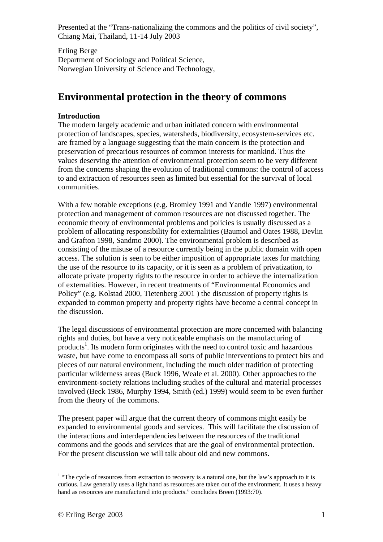Erling Berge Department of Sociology and Political Science, Norwegian University of Science and Technology,

# **Environmental protection in the theory of commons**

# **Introduction**

The modern largely academic and urban initiated concern with environmental protection of landscapes, species, watersheds, biodiversity, ecosystem-services etc. are framed by a language suggesting that the main concern is the protection and preservation of precarious resources of common interests for mankind. Thus the values deserving the attention of environmental protection seem to be very different from the concerns shaping the evolution of traditional commons: the control of access to and extraction of resources seen as limited but essential for the survival of local communities.

With a few notable exceptions (e.g. Bromley 1991 and Yandle 1997) environmental protection and management of common resources are not discussed together. The economic theory of environmental problems and policies is usually discussed as a problem of allocating responsibility for externalities (Baumol and Oates 1988, Devlin and Grafton 1998, Sandmo 2000). The environmental problem is described as consisting of the misuse of a resource currently being in the public domain with open access. The solution is seen to be either imposition of appropriate taxes for matching the use of the resource to its capacity, or it is seen as a problem of privatization, to allocate private property rights to the resource in order to achieve the internalization of externalities. However, in recent treatments of "Environmental Economics and Policy" (e.g. Kolstad 2000, Tietenberg 2001 ) the discussion of property rights is expanded to common property and property rights have become a central concept in the discussion.

The legal discussions of environmental protection are more concerned with balancing rights and duties, but have a very noticeable emphasis on the manufacturing of products<sup>1</sup>. Its modern form originates with the need to control toxic and hazardous waste, but have come to encompass all sorts of public interventions to protect bits and pieces of our natural environment, including the much older tradition of protecting particular wilderness areas (Buck 1996, Weale et al. 2000). Other approaches to the environment-society relations including studies of the cultural and material processes involved (Beck 1986, Murphy 1994, Smith (ed.) 1999) would seem to be even further from the theory of the commons.

The present paper will argue that the current theory of commons might easily be expanded to environmental goods and services. This will facilitate the discussion of the interactions and interdependencies between the resources of the traditional commons and the goods and services that are the goal of environmental protection. For the present discussion we will talk about old and new commons.

<sup>&</sup>lt;sup>1</sup> "The cycle of resources from extraction to recovery is a natural one, but the law's approach to it is curious. Law generally uses a light hand as resources are taken out of the environment. It uses a heavy hand as resources are manufactured into products." concludes Breen (1993:70).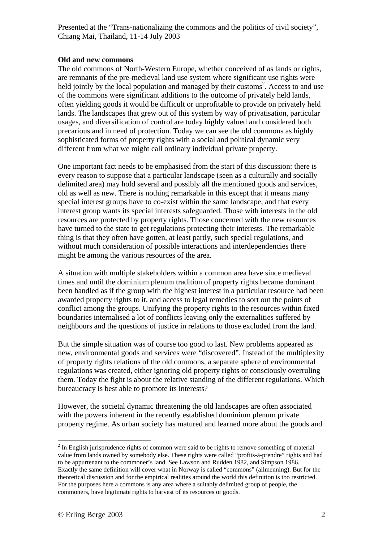### **Old and new commons**

The old commons of North-Western Europe, whether conceived of as lands or rights, are remnants of the pre-medieval land use system where significant use rights were held jointly by the local population and managed by their customs<sup>2</sup>. Access to and use of the commons were significant additions to the outcome of privately held lands, often yielding goods it would be difficult or unprofitable to provide on privately held lands. The landscapes that grew out of this system by way of privatisation, particular usages, and diversification of control are today highly valued and considered both precarious and in need of protection. Today we can see the old commons as highly sophisticated forms of property rights with a social and political dynamic very different from what we might call ordinary individual private property.

One important fact needs to be emphasised from the start of this discussion: there is every reason to suppose that a particular landscape (seen as a culturally and socially delimited area) may hold several and possibly all the mentioned goods and services, old as well as new. There is nothing remarkable in this except that it means many special interest groups have to co-exist within the same landscape, and that every interest group wants its special interests safeguarded. Those with interests in the old resources are protected by property rights. Those concerned with the new resources have turned to the state to get regulations protecting their interests. The remarkable thing is that they often have gotten, at least partly, such special regulations, and without much consideration of possible interactions and interdependencies there might be among the various resources of the area.

A situation with multiple stakeholders within a common area have since medieval times and until the dominium plenum tradition of property rights became dominant been handled as if the group with the highest interest in a particular resource had been awarded property rights to it, and access to legal remedies to sort out the points of conflict among the groups. Unifying the property rights to the resources within fixed boundaries internalised a lot of conflicts leaving only the externalities suffered by neighbours and the questions of justice in relations to those excluded from the land.

But the simple situation was of course too good to last. New problems appeared as new, environmental goods and services were "discovered". Instead of the multiplexity of property rights relations of the old commons, a separate sphere of environmental regulations was created, either ignoring old property rights or consciously overruling them. Today the fight is about the relative standing of the different regulations. Which bureaucracy is best able to promote its interests?

However, the societal dynamic threatening the old landscapes are often associated with the powers inherent in the recently established dominium plenum private property regime. As urban society has matured and learned more about the goods and

 $2^{2}$  In English jurisprudence rights of common were said to be rights to remove something of material value from lands owned by somebody else. These rights were called "profits-à-prendre" rights and had to be appurtenant to the commoner's land. See Lawson and Rudden 1982, and Simpson 1986. Exactly the same definition will cover what in Norway is called "commons" (allmenning). But for the theoretical discussion and for the empirical realities around the world this definition is too restricted. For the purposes here a commons is any area where a suitably delimited group of people, the commoners, have legitimate rights to harvest of its resources or goods.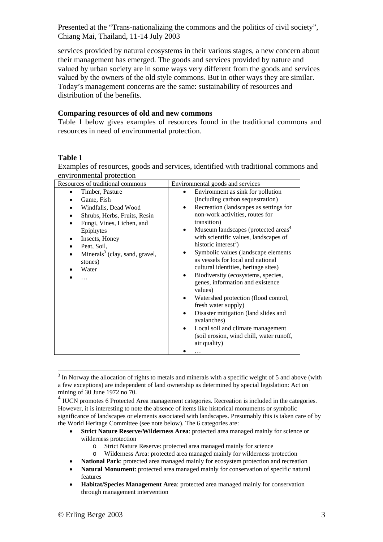services provided by natural ecosystems in their various stages, a new concern about their management has emerged. The goods and services provided by nature and valued by urban society are in some ways very different from the goods and services valued by the owners of the old style commons. But in other ways they are similar. Today's management concerns are the same: sustainability of resources and distribution of the benefits.

### **Comparing resources of old and new commons**

Table 1 below gives examples of resources found in the traditional commons and resources in need of environmental protection.

# **Table 1**

 $\overline{a}$ 

Examples of resources, goods and services, identified with traditional commons and environmental protection

| Resources of traditional commons                                                                                                                                                                                | Environmental goods and services                                                                                                                                                                                                                                                                                                                                                                                                                                                                                                                                                                                                                           |
|-----------------------------------------------------------------------------------------------------------------------------------------------------------------------------------------------------------------|------------------------------------------------------------------------------------------------------------------------------------------------------------------------------------------------------------------------------------------------------------------------------------------------------------------------------------------------------------------------------------------------------------------------------------------------------------------------------------------------------------------------------------------------------------------------------------------------------------------------------------------------------------|
| Timber, Pasture<br>٠                                                                                                                                                                                            | Environment as sink for pollution                                                                                                                                                                                                                                                                                                                                                                                                                                                                                                                                                                                                                          |
| Game, Fish<br>Windfalls, Dead Wood<br>Shrubs, Herbs, Fruits, Resin<br>Fungi, Vines, Lichen, and<br>Epiphytes<br>Insects, Honey<br>Peat, Soil,<br>Minerals <sup>3</sup> (clay, sand, gravel,<br>stones)<br>Water | (including carbon sequestration)<br>Recreation (landscapes as settings for<br>non-work activities, routes for<br>transition)<br>Museum landscapes (protected areas <sup>4</sup><br>$\bullet$<br>with scientific values, landscapes of<br>historic interest <sup>5</sup> )<br>Symbolic values (landscape elements<br>as vessels for local and national<br>cultural identities, heritage sites)<br>Biodiversity (ecosystems, species,<br>genes, information and existence<br>values)<br>Watershed protection (flood control,<br>fresh water supply)<br>Disaster mitigation (land slides and<br>avalanches)<br>Local soil and climate management<br>$\bullet$ |
|                                                                                                                                                                                                                 | air quality)                                                                                                                                                                                                                                                                                                                                                                                                                                                                                                                                                                                                                                               |
|                                                                                                                                                                                                                 | (soil erosion, wind chill, water runoff,                                                                                                                                                                                                                                                                                                                                                                                                                                                                                                                                                                                                                   |

 $3 \text{ In}$  Norway the allocation of rights to metals and minerals with a specific weight of 5 and above (with a few exceptions) are independent of land ownership as determined by special legislation: Act on mining of 30 June 1972 no 70.

- **Strict Nature Reserve/Wilderness Area**: protected area managed mainly for science or wilderness protection
	- o Strict Nature Reserve: protected area managed mainly for science
	- o Wilderness Area: protected area managed mainly for wilderness protection
- **National Park**: protected area managed mainly for ecosystem protection and recreation
- **Natural Monument**: protected area managed mainly for conservation of specific natural features
- **Habitat/Species Management Area**: protected area managed mainly for conservation through management intervention

<sup>&</sup>lt;sup>4</sup> IUCN promotes 6 Protected Area management categories. Recreation is included in the categories. However, it is interesting to note the absence of items like historical monuments or symbolic significance of landscapes or elements associated with landscapes. Presumably this is taken care of by the World Heritage Committee (see note below). The 6 categories are: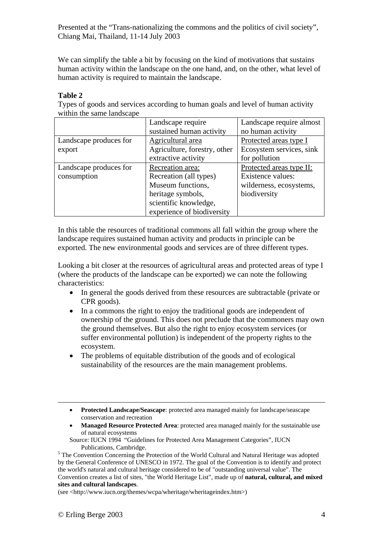We can simplify the table a bit by focusing on the kind of motivations that sustains human activity within the landscape on the one hand, and, on the other, what level of human activity is required to maintain the landscape.

# **Table 2**

Types of goods and services according to human goals and level of human activity within the same landscape

|                        | Landscape require            | Landscape require almost |
|------------------------|------------------------------|--------------------------|
|                        | sustained human activity     | no human activity        |
| Landscape produces for | Agricultural area            | Protected areas type I   |
| export                 | Agriculture, forestry, other | Ecosystem services, sink |
|                        | extractive activity          | for pollution            |
| Landscape produces for | Recreation area:             | Protected areas type II: |
| consumption            | Recreation (all types)       | Existence values:        |
|                        | Museum functions,            | wilderness, ecosystems,  |
|                        | heritage symbols,            | biodiversity             |
|                        | scientific knowledge,        |                          |
|                        | experience of biodiversity   |                          |

In this table the resources of traditional commons all fall within the group where the landscape requires sustained human activity and products in principle can be exported. The new environmental goods and services are of three different types.

Looking a bit closer at the resources of agricultural areas and protected areas of type I (where the products of the landscape can be exported) we can note the following characteristics:

- In general the goods derived from these resources are subtractable (private or CPR goods).
- In a commons the right to enjoy the traditional goods are independent of ownership of the ground. This does not preclude that the commoners may own the ground themselves. But also the right to enjoy ecosystem services (or suffer environmental pollution) is independent of the property rights to the ecosystem.
- The problems of equitable distribution of the goods and of ecological sustainability of the resources are the main management problems.
- **Protected Landscape/Seascape**: protected area managed mainly for landscape/seascape conservation and recreation
- **Managed Resource Protected Area**: protected area managed mainly for the sustainable use of natural ecosystems
- Source: IUCN 1994 "Guidelines for Protected Area Management Categories", IUCN

(see <http://www.iucn.org/themes/wcpa/wheritage/wheritageindex.htm>)

Publications, Cambridge.<br><sup>5</sup> The Convention Concerning the Protection of the World Cultural and Natural Heritage was adopted by the General Conference of UNESCO in 1972. The goal of the Convention is to identify and protect the world's natural and cultural heritage considered to be of "outstanding universal value". The Convention creates a list of sites, "the World Heritage List", made up of **natural, cultural, and mixed sites and cultural landscapes**.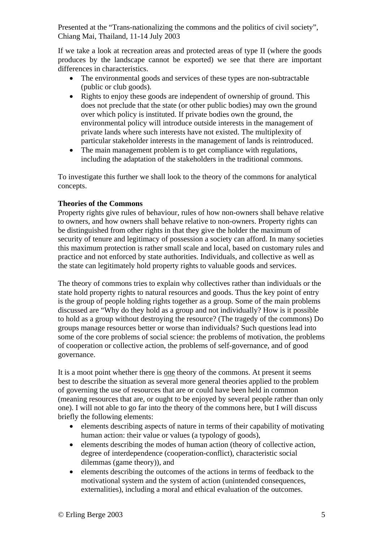If we take a look at recreation areas and protected areas of type II (where the goods produces by the landscape cannot be exported) we see that there are important differences in characteristics.

- The environmental goods and services of these types are non-subtractable (public or club goods).
- Rights to enjoy these goods are independent of ownership of ground. This does not preclude that the state (or other public bodies) may own the ground over which policy is instituted. If private bodies own the ground, the environmental policy will introduce outside interests in the management of private lands where such interests have not existed. The multiplexity of particular stakeholder interests in the management of lands is reintroduced.
- The main management problem is to get compliance with regulations, including the adaptation of the stakeholders in the traditional commons.

To investigate this further we shall look to the theory of the commons for analytical concepts.

# **Theories of the Commons**

Property rights give rules of behaviour, rules of how non-owners shall behave relative to owners, and how owners shall behave relative to non-owners. Property rights can be distinguished from other rights in that they give the holder the maximum of security of tenure and legitimacy of possession a society can afford. In many societies this maximum protection is rather small scale and local, based on customary rules and practice and not enforced by state authorities. Individuals, and collective as well as the state can legitimately hold property rights to valuable goods and services.

The theory of commons tries to explain why collectives rather than individuals or the state hold property rights to natural resources and goods. Thus the key point of entry is the group of people holding rights together as a group. Some of the main problems discussed are "Why do they hold as a group and not individually? How is it possible to hold as a group without destroying the resource? (The tragedy of the commons) Do groups manage resources better or worse than individuals? Such questions lead into some of the core problems of social science: the problems of motivation, the problems of cooperation or collective action, the problems of self-governance, and of good governance.

It is a moot point whether there is one theory of the commons. At present it seems best to describe the situation as several more general theories applied to the problem of governing the use of resources that are or could have been held in common (meaning resources that are, or ought to be enjoyed by several people rather than only one). I will not able to go far into the theory of the commons here, but I will discuss briefly the following elements:

- elements describing aspects of nature in terms of their capability of motivating human action: their value or values (a typology of goods),
- elements describing the modes of human action (theory of collective action, degree of interdependence (cooperation-conflict), characteristic social dilemmas (game theory)), and
- elements describing the outcomes of the actions in terms of feedback to the motivational system and the system of action (unintended consequences, externalities), including a moral and ethical evaluation of the outcomes.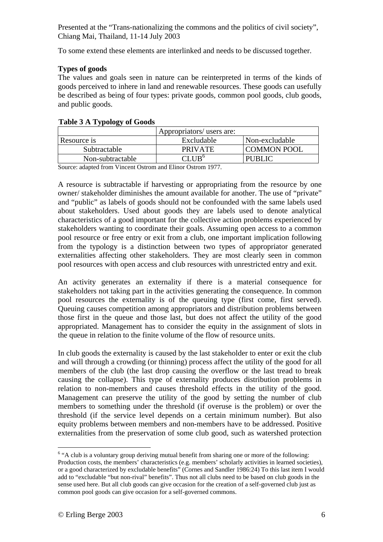To some extend these elements are interlinked and needs to be discussed together.

# **Types of goods**

The values and goals seen in nature can be reinterpreted in terms of the kinds of goods perceived to inhere in land and renewable resources. These goods can usefully be described as being of four types: private goods, common pool goods, club goods, and public goods.

| Appropriators/ users are: |                |                    |  |
|---------------------------|----------------|--------------------|--|
| Resource is               | Excludable     | Non-excludable     |  |
| Subtractable              | <b>PRIVATE</b> | <b>COMMON POOL</b> |  |
| Non-subtractable          |                | <b>PUBLIC</b>      |  |

# **Table 3 A Typology of Goods**

Source: adapted from Vincent Ostrom and Elinor Ostrom 1977.

A resource is subtractable if harvesting or appropriating from the resource by one owner/ stakeholder diminishes the amount available for another. The use of "private" and "public" as labels of goods should not be confounded with the same labels used about stakeholders. Used about goods they are labels used to denote analytical characteristics of a good important for the collective action problems experienced by stakeholders wanting to coordinate their goals. Assuming open access to a common pool resource or free entry or exit from a club, one important implication following from the typology is a distinction between two types of appropriator generated externalities affecting other stakeholders. They are most clearly seen in common pool resources with open access and club resources with unrestricted entry and exit.

An activity generates an externality if there is a material consequence for stakeholders not taking part in the activities generating the consequence. In common pool resources the externality is of the queuing type (first come, first served). Queuing causes competition among appropriators and distribution problems between those first in the queue and those last, but does not affect the utility of the good appropriated. Management has to consider the equity in the assignment of slots in the queue in relation to the finite volume of the flow of resource units.

In club goods the externality is caused by the last stakeholder to enter or exit the club and will through a crowding (or thinning) process affect the utility of the good for all members of the club (the last drop causing the overflow or the last tread to break causing the collapse). This type of externality produces distribution problems in relation to non-members and causes threshold effects in the utility of the good. Management can preserve the utility of the good by setting the number of club members to something under the threshold (if overuse is the problem) or over the threshold (if the service level depends on a certain minimum number). But also equity problems between members and non-members have to be addressed. Positive externalities from the preservation of some club good, such as watershed protection

<sup>&</sup>lt;sup>6</sup> "A club is a voluntary group deriving mutual benefit from sharing one or more of the following: Production costs, the members' characteristics (e.g. members' scholarly activities in learned societies), or a good characterized by excludable benefits" (Cornes and Sandler 1986:24) To this last item I would add to "excludable "but non-rival" benefits". Thus not all clubs need to be based on club goods in the sense used here. But all club goods can give occasion for the creation of a self-governed club just as common pool goods can give occasion for a self-governed commons.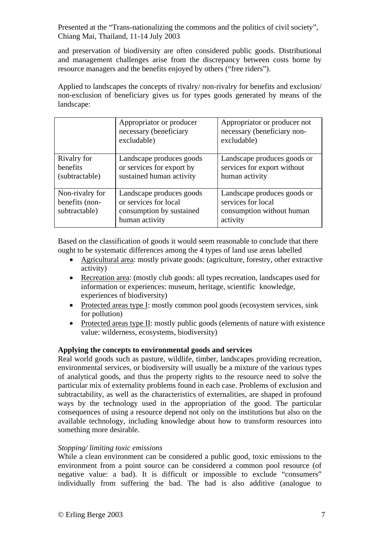and preservation of biodiversity are often considered public goods. Distributional and management challenges arise from the discrepancy between costs borne by resource managers and the benefits enjoyed by others ("free riders").

Applied to landscapes the concepts of rivalry/ non-rivalry for benefits and exclusion/ non-exclusion of beneficiary gives us for types goods generated by means of the landscape:

|                                                    | Appropriator or producer<br>necessary (beneficiary<br>excludable)                               | Appropriator or producer not<br>necessary (beneficiary non-<br>excludable)                 |
|----------------------------------------------------|-------------------------------------------------------------------------------------------------|--------------------------------------------------------------------------------------------|
| Rivalry for<br>benefits<br>(subtractable)          | Landscape produces goods<br>or services for export by<br>sustained human activity               | Landscape produces goods or<br>services for export without<br>human activity               |
| Non-rivalry for<br>benefits (non-<br>subtractable) | Landscape produces goods<br>or services for local<br>consumption by sustained<br>human activity | Landscape produces goods or<br>services for local<br>consumption without human<br>activity |

Based on the classification of goods it would seem reasonable to conclude that there ought to be systematic differences among the 4 types of land use areas labelled

- Agricultural area: mostly private goods: (agriculture, forestry, other extractive activity)
- Recreation area: (mostly club goods: all types recreation, landscapes used for information or experiences: museum, heritage, scientific knowledge, experiences of biodiversity)
- Protected areas type I: mostly common pool goods (ecosystem services, sink) for pollution)
- Protected areas type II: mostly public goods (elements of nature with existence value: wilderness, ecosystems, biodiversity)

# **Applying the concepts to environmental goods and services**

Real world goods such as pasture, wildlife, timber, landscapes providing recreation, environmental services, or biodiversity will usually be a mixture of the various types of analytical goods, and thus the property rights to the resource need to solve the particular mix of externality problems found in each case. Problems of exclusion and subtractability, as well as the characteristics of externalities, are shaped in profound ways by the technology used in the appropriation of the good. The particular consequences of using a resource depend not only on the institutions but also on the available technology, including knowledge about how to transform resources into something more desirable.

### *Stopping/ limiting toxic emissions*

While a clean environment can be considered a public good, toxic emissions to the environment from a point source can be considered a common pool resource (of negative value: a bad). It is difficult or impossible to exclude "consumers" individually from suffering the bad. The bad is also additive (analogue to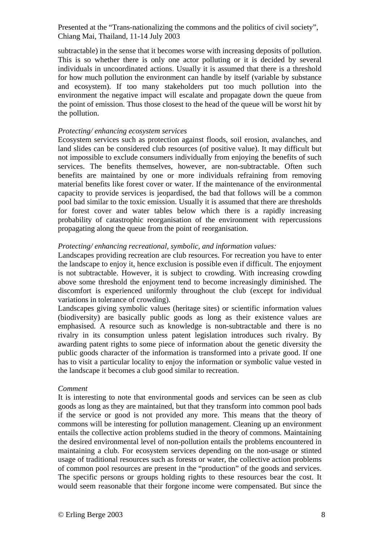subtractable) in the sense that it becomes worse with increasing deposits of pollution. This is so whether there is only one actor polluting or it is decided by several individuals in uncoordinated actions. Usually it is assumed that there is a threshold for how much pollution the environment can handle by itself (variable by substance and ecosystem). If too many stakeholders put too much pollution into the environment the negative impact will escalate and propagate down the queue from the point of emission. Thus those closest to the head of the queue will be worst hit by the pollution.

### *Protecting/ enhancing ecosystem services*

Ecosystem services such as protection against floods, soil erosion, avalanches, and land slides can be considered club resources (of positive value). It may difficult but not impossible to exclude consumers individually from enjoying the benefits of such services. The benefits themselves, however, are non-subtractable. Often such benefits are maintained by one or more individuals refraining from removing material benefits like forest cover or water. If the maintenance of the environmental capacity to provide services is jeopardised, the bad that follows will be a common pool bad similar to the toxic emission. Usually it is assumed that there are thresholds for forest cover and water tables below which there is a rapidly increasing probability of catastrophic reorganisation of the environment with repercussions propagating along the queue from the point of reorganisation.

### *Protecting/ enhancing recreational, symbolic, and information values:*

Landscapes providing recreation are club resources. For recreation you have to enter the landscape to enjoy it, hence exclusion is possible even if difficult. The enjoyment is not subtractable. However, it is subject to crowding. With increasing crowding above some threshold the enjoyment tend to become increasingly diminished. The discomfort is experienced uniformly throughout the club (except for individual variations in tolerance of crowding).

Landscapes giving symbolic values (heritage sites) or scientific information values (biodiversity) are basically public goods as long as their existence values are emphasised. A resource such as knowledge is non-subtractable and there is no rivalry in its consumption unless patent legislation introduces such rivalry. By awarding patent rights to some piece of information about the genetic diversity the public goods character of the information is transformed into a private good. If one has to visit a particular locality to enjoy the information or symbolic value vested in the landscape it becomes a club good similar to recreation.

#### *Comment*

It is interesting to note that environmental goods and services can be seen as club goods as long as they are maintained, but that they transform into common pool bads if the service or good is not provided any more. This means that the theory of commons will be interesting for pollution management. Cleaning up an environment entails the collective action problems studied in the theory of commons. Maintaining the desired environmental level of non-pollution entails the problems encountered in maintaining a club. For ecosystem services depending on the non-usage or stinted usage of traditional resources such as forests or water, the collective action problems of common pool resources are present in the "production" of the goods and services. The specific persons or groups holding rights to these resources bear the cost. It would seem reasonable that their forgone income were compensated. But since the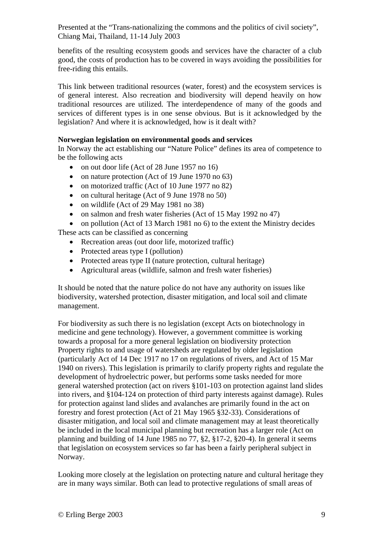benefits of the resulting ecosystem goods and services have the character of a club good, the costs of production has to be covered in ways avoiding the possibilities for free-riding this entails.

This link between traditional resources (water, forest) and the ecosystem services is of general interest. Also recreation and biodiversity will depend heavily on how traditional resources are utilized. The interdependence of many of the goods and services of different types is in one sense obvious. But is it acknowledged by the legislation? And where it is acknowledged, how is it dealt with?

# **Norwegian legislation on environmental goods and services**

In Norway the act establishing our "Nature Police" defines its area of competence to be the following acts

- on out door life (Act of 28 June 1957 no 16)
- on nature protection (Act of 19 June 1970 no 63)
- on motorized traffic (Act of 10 June 1977 no 82)
- on cultural heritage (Act of 9 June 1978 no 50)
- on wildlife (Act of 29 May 1981 no 38)
- on salmon and fresh water fisheries (Act of 15 May 1992 no 47)
- on pollution (Act of 13 March 1981 no 6) to the extent the Ministry decides

These acts can be classified as concerning

- Recreation areas (out door life, motorized traffic)
- Protected areas type I (pollution)
- Protected areas type II (nature protection, cultural heritage)
- Agricultural areas (wildlife, salmon and fresh water fisheries)

It should be noted that the nature police do not have any authority on issues like biodiversity, watershed protection, disaster mitigation, and local soil and climate management.

For biodiversity as such there is no legislation (except Acts on biotechnology in medicine and gene technology). However, a government committee is working towards a proposal for a more general legislation on biodiversity protection Property rights to and usage of watersheds are regulated by older legislation (particularly Act of 14 Dec 1917 no 17 on regulations of rivers, and Act of 15 Mar 1940 on rivers). This legislation is primarily to clarify property rights and regulate the development of hydroelectric power, but performs some tasks needed for more general watershed protection (act on rivers §101-103 on protection against land slides into rivers, and §104-124 on protection of third party interests against damage). Rules for protection against land slides and avalanches are primarily found in the act on forestry and forest protection (Act of 21 May 1965 §32-33). Considerations of disaster mitigation, and local soil and climate management may at least theoretically be included in the local municipal planning but recreation has a larger role (Act on planning and building of 14 June 1985 no 77, §2, §17-2, §20-4). In general it seems that legislation on ecosystem services so far has been a fairly peripheral subject in Norway.

Looking more closely at the legislation on protecting nature and cultural heritage they are in many ways similar. Both can lead to protective regulations of small areas of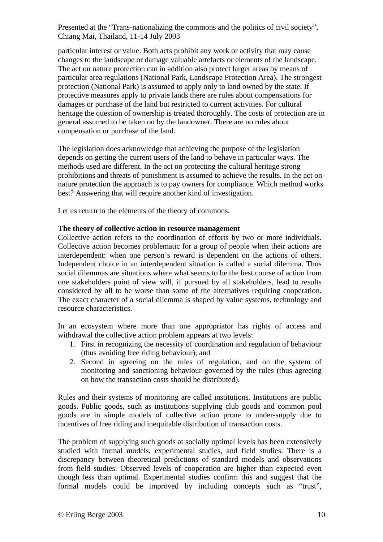particular interest or value. Both acts prohibit any work or activity that may cause changes to the landscape or damage valuable artefacts or elements of the landscape. The act on nature protection can in addition also protect larger areas by means of particular area regulations (National Park, Landscape Protection Area). The strongest protection (National Park) is assumed to apply only to land owned by the state. If protective measures apply to private lands there are rules about compensations for damages or purchase of the land but restricted to current activities. For cultural heritage the question of ownership is treated thoroughly. The costs of protection are in general assumed to be taken on by the landowner. There are no rules about compensation or purchase of the land.

The legislation does acknowledge that achieving the purpose of the legislation depends on getting the current users of the land to behave in particular ways. The methods used are different. In the act on protecting the cultural heritage strong prohibitions and threats of punishment is assumed to achieve the results. In the act on nature protection the approach is to pay owners for compliance. Which method works best? Answering that will require another kind of investigation.

Let us return to the elements of the theory of commons.

# **The theory of collective action in resource management**

Collective action refers to the coordination of efforts by two or more individuals. Collective action becomes problematic for a group of people when their actions are interdependent: when one person's reward is dependent on the actions of others. Independent choice in an interdependent situation is called a social dilemma. Thus social dilemmas are situations where what seems to be the best course of action from one stakeholders point of view will, if pursued by all stakeholders, lead to results considered by all to be worse than some of the alternatives requiring cooperation. The exact character of a social dilemma is shaped by value systems, technology and resource characteristics.

In an ecosystem where more than one appropriator has rights of access and withdrawal the collective action problem appears at two levels:

- 1. First in recognizing the necessity of coordination and regulation of behaviour (thus avoiding free riding behaviour), and
- 2. Second in agreeing on the rules of regulation, and on the system of monitoring and sanctioning behaviour governed by the rules (thus agreeing on how the transaction costs should be distributed).

Rules and their systems of monitoring are called institutions. Institutions are public goods. Public goods, such as institutions supplying club goods and common pool goods are in simple models of collective action prone to under-supply due to incentives of free riding and inequitable distribution of transaction costs.

The problem of supplying such goods at socially optimal levels has been extensively studied with formal models, experimental studies, and field studies. There is a discrepancy between theoretical predictions of standard models and observations from field studies. Observed levels of cooperation are higher than expected even though less than optimal. Experimental studies confirm this and suggest that the formal models could be improved by including concepts such as "trust",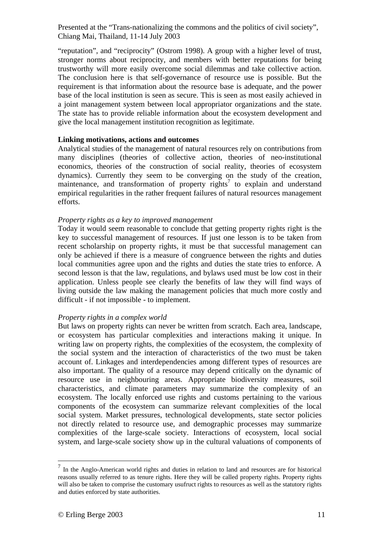"reputation", and "reciprocity" (Ostrom 1998). A group with a higher level of trust, stronger norms about reciprocity, and members with better reputations for being trustworthy will more easily overcome social dilemmas and take collective action. The conclusion here is that self-governance of resource use is possible. But the requirement is that information about the resource base is adequate, and the power base of the local institution is seen as secure. This is seen as most easily achieved in a joint management system between local appropriator organizations and the state. The state has to provide reliable information about the ecosystem development and give the local management institution recognition as legitimate.

### **Linking motivations, actions and outcomes**

Analytical studies of the management of natural resources rely on contributions from many disciplines (theories of collective action, theories of neo-institutional economics, theories of the construction of social reality, theories of ecosystem dynamics). Currently they seem to be converging on the study of the creation, maintenance, and transformation of property rights<sup>7</sup> to explain and understand empirical regularities in the rather frequent failures of natural resources management efforts.

### *Property rights as a key to improved management*

Today it would seem reasonable to conclude that getting property rights right is the key to successful management of resources. If just one lesson is to be taken from recent scholarship on property rights, it must be that successful management can only be achieved if there is a measure of congruence between the rights and duties local communities agree upon and the rights and duties the state tries to enforce. A second lesson is that the law, regulations, and bylaws used must be low cost in their application. Unless people see clearly the benefits of law they will find ways of living outside the law making the management policies that much more costly and difficult - if not impossible - to implement.

# *Property rights in a complex world*

But laws on property rights can never be written from scratch. Each area, landscape, or ecosystem has particular complexities and interactions making it unique. In writing law on property rights, the complexities of the ecosystem, the complexity of the social system and the interaction of characteristics of the two must be taken account of. Linkages and interdependencies among different types of resources are also important. The quality of a resource may depend critically on the dynamic of resource use in neighbouring areas. Appropriate biodiversity measures, soil characteristics, and climate parameters may summarize the complexity of an ecosystem. The locally enforced use rights and customs pertaining to the various components of the ecosystem can summarize relevant complexities of the local social system. Market pressures, technological developments, state sector policies not directly related to resource use, and demographic processes may summarize complexities of the large-scale society. Interactions of ecosystem, local social system, and large-scale society show up in the cultural valuations of components of

 $<sup>7</sup>$  In the Anglo-American world rights and duties in relation to land and resources are for historical</sup> reasons usually referred to as tenure rights. Here they will be called property rights. Property rights will also be taken to comprise the customary usufruct rights to resources as well as the statutory rights and duties enforced by state authorities.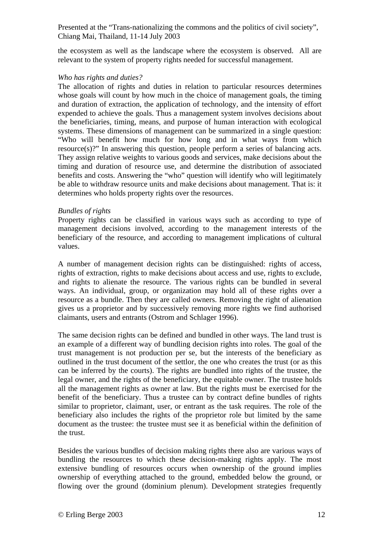the ecosystem as well as the landscape where the ecosystem is observed. All are relevant to the system of property rights needed for successful management.

# *Who has rights and duties?*

The allocation of rights and duties in relation to particular resources determines whose goals will count by how much in the choice of management goals, the timing and duration of extraction, the application of technology, and the intensity of effort expended to achieve the goals. Thus a management system involves decisions about the beneficiaries, timing, means, and purpose of human interaction with ecological systems. These dimensions of management can be summarized in a single question: "Who will benefit how much for how long and in what ways from which resource(s)?" In answering this question, people perform a series of balancing acts. They assign relative weights to various goods and services, make decisions about the timing and duration of resource use, and determine the distribution of associated benefits and costs. Answering the "who" question will identify who will legitimately be able to withdraw resource units and make decisions about management. That is: it determines who holds property rights over the resources.

### *Bundles of rights*

Property rights can be classified in various ways such as according to type of management decisions involved, according to the management interests of the beneficiary of the resource, and according to management implications of cultural values.

A number of management decision rights can be distinguished: rights of access, rights of extraction, rights to make decisions about access and use, rights to exclude, and rights to alienate the resource. The various rights can be bundled in several ways. An individual, group, or organization may hold all of these rights over a resource as a bundle. Then they are called owners. Removing the right of alienation gives us a proprietor and by successively removing more rights we find authorised claimants, users and entrants (Ostrom and Schlager 1996).

The same decision rights can be defined and bundled in other ways. The land trust is an example of a different way of bundling decision rights into roles. The goal of the trust management is not production per se, but the interests of the beneficiary as outlined in the trust document of the settlor, the one who creates the trust (or as this can be inferred by the courts). The rights are bundled into rights of the trustee, the legal owner, and the rights of the beneficiary, the equitable owner. The trustee holds all the management rights as owner at law. But the rights must be exercised for the benefit of the beneficiary. Thus a trustee can by contract define bundles of rights similar to proprietor, claimant, user, or entrant as the task requires. The role of the beneficiary also includes the rights of the proprietor role but limited by the same document as the trustee: the trustee must see it as beneficial within the definition of the trust.

Besides the various bundles of decision making rights there also are various ways of bundling the resources to which these decision-making rights apply. The most extensive bundling of resources occurs when ownership of the ground implies ownership of everything attached to the ground, embedded below the ground, or flowing over the ground (dominium plenum). Development strategies frequently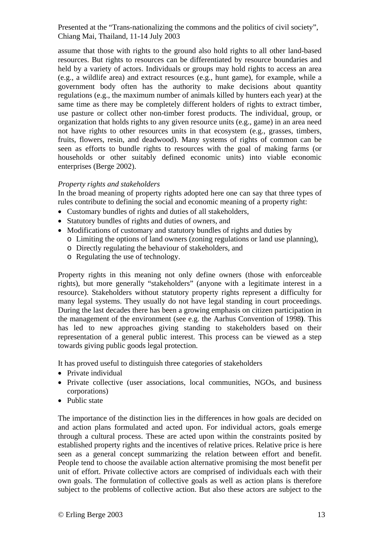assume that those with rights to the ground also hold rights to all other land-based resources. But rights to resources can be differentiated by resource boundaries and held by a variety of actors. Individuals or groups may hold rights to access an area (e.g., a wildlife area) and extract resources (e.g., hunt game), for example, while a government body often has the authority to make decisions about quantity regulations (e.g., the maximum number of animals killed by hunters each year) at the same time as there may be completely different holders of rights to extract timber, use pasture or collect other non-timber forest products. The individual, group, or organization that holds rights to any given resource units (e.g., game) in an area need not have rights to other resources units in that ecosystem (e.g., grasses, timbers, fruits, flowers, resin, and deadwood). Many systems of rights of common can be seen as efforts to bundle rights to resources with the goal of making farms (or households or other suitably defined economic units) into viable economic enterprises (Berge 2002).

# *Property rights and stakeholders*

In the broad meaning of property rights adopted here one can say that three types of rules contribute to defining the social and economic meaning of a property right:

- Customary bundles of rights and duties of all stakeholders,
- Statutory bundles of rights and duties of owners, and
- Modifications of customary and statutory bundles of rights and duties by
	- o Limiting the options of land owners (zoning regulations or land use planning),
	- o Directly regulating the behaviour of stakeholders, and
	- o Regulating the use of technology.

Property rights in this meaning not only define owners (those with enforceable rights), but more generally "stakeholders" (anyone with a legitimate interest in a resource). Stakeholders without statutory property rights represent a difficulty for many legal systems. They usually do not have legal standing in court proceedings. During the last decades there has been a growing emphasis on citizen participation in the management of the environment (see e.g. the Aarhus Convention of 1998**)**. This has led to new approaches giving standing to stakeholders based on their representation of a general public interest. This process can be viewed as a step towards giving public goods legal protection.

It has proved useful to distinguish three categories of stakeholders

- Private individual
- Private collective (user associations, local communities, NGOs, and business corporations)
- Public state

The importance of the distinction lies in the differences in how goals are decided on and action plans formulated and acted upon. For individual actors, goals emerge through a cultural process. These are acted upon within the constraints posited by established property rights and the incentives of relative prices. Relative price is here seen as a general concept summarizing the relation between effort and benefit. People tend to choose the available action alternative promising the most benefit per unit of effort. Private collective actors are comprised of individuals each with their own goals. The formulation of collective goals as well as action plans is therefore subject to the problems of collective action. But also these actors are subject to the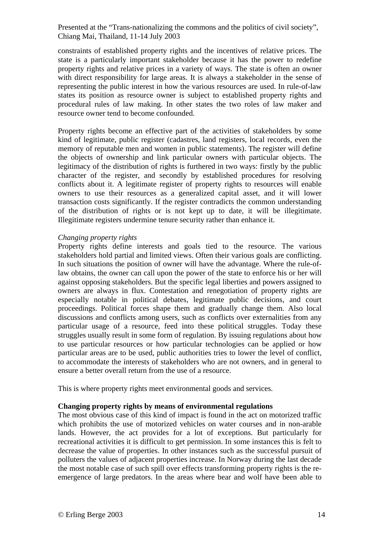constraints of established property rights and the incentives of relative prices. The state is a particularly important stakeholder because it has the power to redefine property rights and relative prices in a variety of ways. The state is often an owner with direct responsibility for large areas. It is always a stakeholder in the sense of representing the public interest in how the various resources are used. In rule-of-law states its position as resource owner is subject to established property rights and procedural rules of law making. In other states the two roles of law maker and resource owner tend to become confounded.

Property rights become an effective part of the activities of stakeholders by some kind of legitimate, public register (cadastres, land registers, local records, even the memory of reputable men and women in public statements). The register will define the objects of ownership and link particular owners with particular objects. The legitimacy of the distribution of rights is furthered in two ways: firstly by the public character of the register, and secondly by established procedures for resolving conflicts about it. A legitimate register of property rights to resources will enable owners to use their resources as a generalized capital asset, and it will lower transaction costs significantly. If the register contradicts the common understanding of the distribution of rights or is not kept up to date, it will be illegitimate. Illegitimate registers undermine tenure security rather than enhance it.

### *Changing property rights*

Property rights define interests and goals tied to the resource. The various stakeholders hold partial and limited views. Often their various goals are conflicting. In such situations the position of owner will have the advantage. Where the rule-oflaw obtains, the owner can call upon the power of the state to enforce his or her will against opposing stakeholders. But the specific legal liberties and powers assigned to owners are always in flux. Contestation and renegotiation of property rights are especially notable in political debates, legitimate public decisions, and court proceedings. Political forces shape them and gradually change them. Also local discussions and conflicts among users, such as conflicts over externalities from any particular usage of a resource, feed into these political struggles. Today these struggles usually result in some form of regulation. By issuing regulations about how to use particular resources or how particular technologies can be applied or how particular areas are to be used, public authorities tries to lower the level of conflict, to accommodate the interests of stakeholders who are not owners, and in general to ensure a better overall return from the use of a resource.

This is where property rights meet environmental goods and services.

### **Changing property rights by means of environmental regulations**

The most obvious case of this kind of impact is found in the act on motorized traffic which prohibits the use of motorized vehicles on water courses and in non-arable lands. However, the act provides for a lot of exceptions. But particularly for recreational activities it is difficult to get permission. In some instances this is felt to decrease the value of properties. In other instances such as the successful pursuit of polluters the values of adjacent properties increase. In Norway during the last decade the most notable case of such spill over effects transforming property rights is the reemergence of large predators. In the areas where bear and wolf have been able to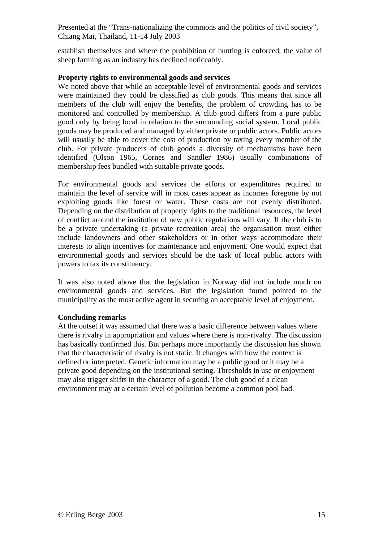establish themselves and where the prohibition of hunting is enforced, the value of sheep farming as an industry has declined noticeably.

# **Property rights to environmental goods and services**

We noted above that while an acceptable level of environmental goods and services were maintained they could be classified as club goods. This means that since all members of the club will enjoy the benefits, the problem of crowding has to be monitored and controlled by membership. A club good differs from a pure public good only by being local in relation to the surrounding social system. Local public goods may be produced and managed by either private or public actors. Public actors will usually be able to cover the cost of production by taxing every member of the club. For private producers of club goods a diversity of mechanisms have been identified (Olson 1965, Cornes and Sandler 1986) usually combinations of membership fees bundled with suitable private goods.

For environmental goods and services the efforts or expenditures required to maintain the level of service will in most cases appear as incomes foregone by not exploiting goods like forest or water. These costs are not evenly distributed. Depending on the distribution of property rights to the traditional resources, the level of conflict around the institution of new public regulations will vary. If the club is to be a private undertaking (a private recreation area) the organisation must either include landowners and other stakeholders or in other ways accommodate their interests to align incentives for maintenance and enjoyment. One would expect that environmental goods and services should be the task of local public actors with powers to tax its constituency.

It was also noted above that the legislation in Norway did not include much on environmental goods and services. But the legislation found pointed to the municipality as the most active agent in securing an acceptable level of enjoyment.

### **Concluding remarks**

At the outset it was assumed that there was a basic difference between values where there is rivalry in appropriation and values where there is non-rivalry. The discussion has basically confirmed this. But perhaps more importantly the discussion has shown that the characteristic of rivalry is not static. It changes with how the context is defined or interpreted. Genetic information may be a public good or it may be a private good depending on the institutional setting. Thresholds in use or enjoyment may also trigger shifts in the character of a good. The club good of a clean environment may at a certain level of pollution become a common pool bad.